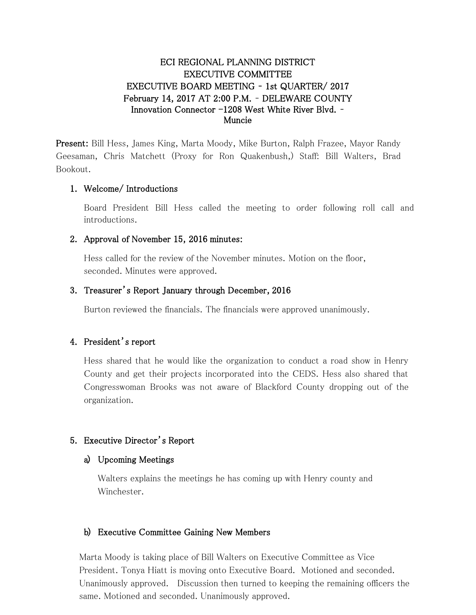# ECI REGIONAL PLANNING DISTRICT EXECUTIVE COMMITTEE EXECUTIVE BOARD MEETING – 1st QUARTER/ 2017 February 14, 2017 AT 2:00 P.M. – DELEWARE COUNTY Innovation Connector -1208 West White River Blvd. – Muncie

Present: Bill Hess, James King, Marta Moody, Mike Burton, Ralph Frazee, Mayor Randy Geesaman, Chris Matchett (Proxy for Ron Quakenbush,) Staff: Bill Walters, Brad Bookout.

### 1. Welcome/ Introductions

Board President Bill Hess called the meeting to order following roll call and introductions.

### 2. Approval of November 15, 2016 minutes:

Hess called for the review of the November minutes. Motion on the floor, seconded. Minutes were approved.

### 3. Treasurer's Report January through December, 2016

Burton reviewed the financials. The financials were approved unanimously.

### 4. President's report

Hess shared that he would like the organization to conduct a road show in Henry County and get their projects incorporated into the CEDS. Hess also shared that Congresswoman Brooks was not aware of Blackford County dropping out of the organization.

### 5. Executive Director's Report

### a) Upcoming Meetings

Walters explains the meetings he has coming up with Henry county and Winchester.

# b) Executive Committee Gaining New Members

Marta Moody is taking place of Bill Walters on Executive Committee as Vice President. Tonya Hiatt is moving onto Executive Board. Motioned and seconded. Unanimously approved. Discussion then turned to keeping the remaining officers the same. Motioned and seconded. Unanimously approved.